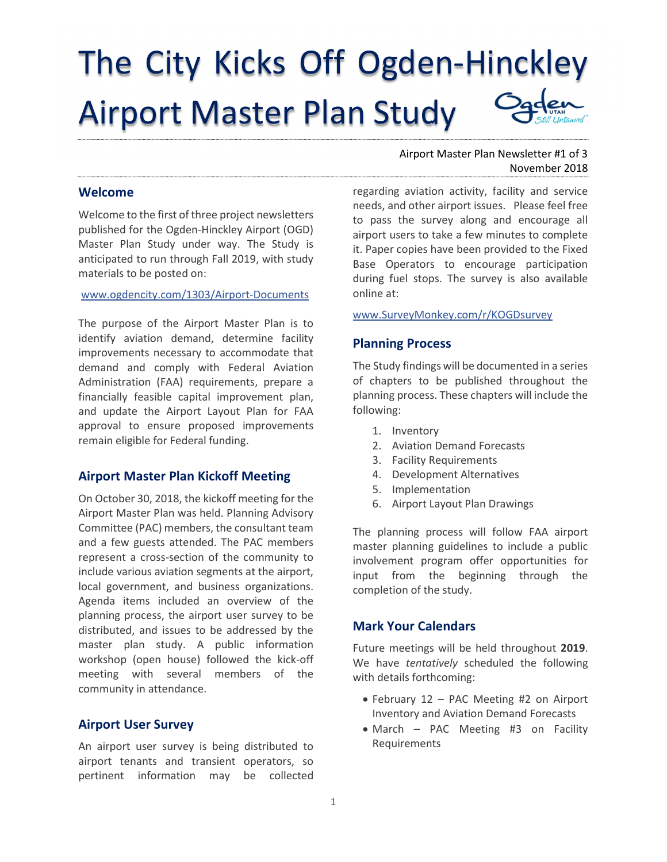# The City Kicks Off Ogden-Hinckley Airport Master Plan Study

## Welcome

Welcome to the first of three project newsletters published for the Ogden-Hinckley Airport (OGD) Master Plan Study under way. The Study is anticipated to run through Fall 2019, with study materials to be posted on:

www.ogdencity.com/1303/Airport-Documents

The purpose of the Airport Master Plan is to identify aviation demand, determine facility improvements necessary to accommodate that demand and comply with Federal Aviation Administration (FAA) requirements, prepare a financially feasible capital improvement plan, and update the Airport Layout Plan for FAA approval to ensure proposed improvements remain eligible for Federal funding.

## Airport Master Plan Kickoff Meeting

On October 30, 2018, the kickoff meeting for the Airport Master Plan was held. Planning Advisory Committee (PAC) members, the consultant team and a few guests attended. The PAC members represent a cross-section of the community to include various aviation segments at the airport, local government, and business organizations. Agenda items included an overview of the planning process, the airport user survey to be distributed, and issues to be addressed by the master plan study. A public information workshop (open house) followed the kick-off meeting with several members of the community in attendance.

# Airport User Survey

An airport user survey is being distributed to airport tenants and transient operators, so pertinent information may be collected

## Airport Master Plan Newsletter #1 of 3 November 2018

regarding aviation activity, facility and service needs, and other airport issues. Please feel free to pass the survey along and encourage all airport users to take a few minutes to complete it. Paper copies have been provided to the Fixed Base Operators to encourage participation during fuel stops. The survey is also available online at:

www.SurveyMonkey.com/r/KOGDsurvey

#### Planning Process

The Study findings will be documented in a series of chapters to be published throughout the planning process. These chapters will include the following:

- 1. Inventory
- 2. Aviation Demand Forecasts
- 3. Facility Requirements
- 4. Development Alternatives
- 5. Implementation
- 6. Airport Layout Plan Drawings

The planning process will follow FAA airport master planning guidelines to include a public involvement program offer opportunities for input from the beginning through the completion of the study.

# Mark Your Calendars

Future meetings will be held throughout 2019. We have tentatively scheduled the following with details forthcoming:

- February 12 PAC Meeting #2 on Airport Inventory and Aviation Demand Forecasts
- March PAC Meeting #3 on Facility **Requirements**